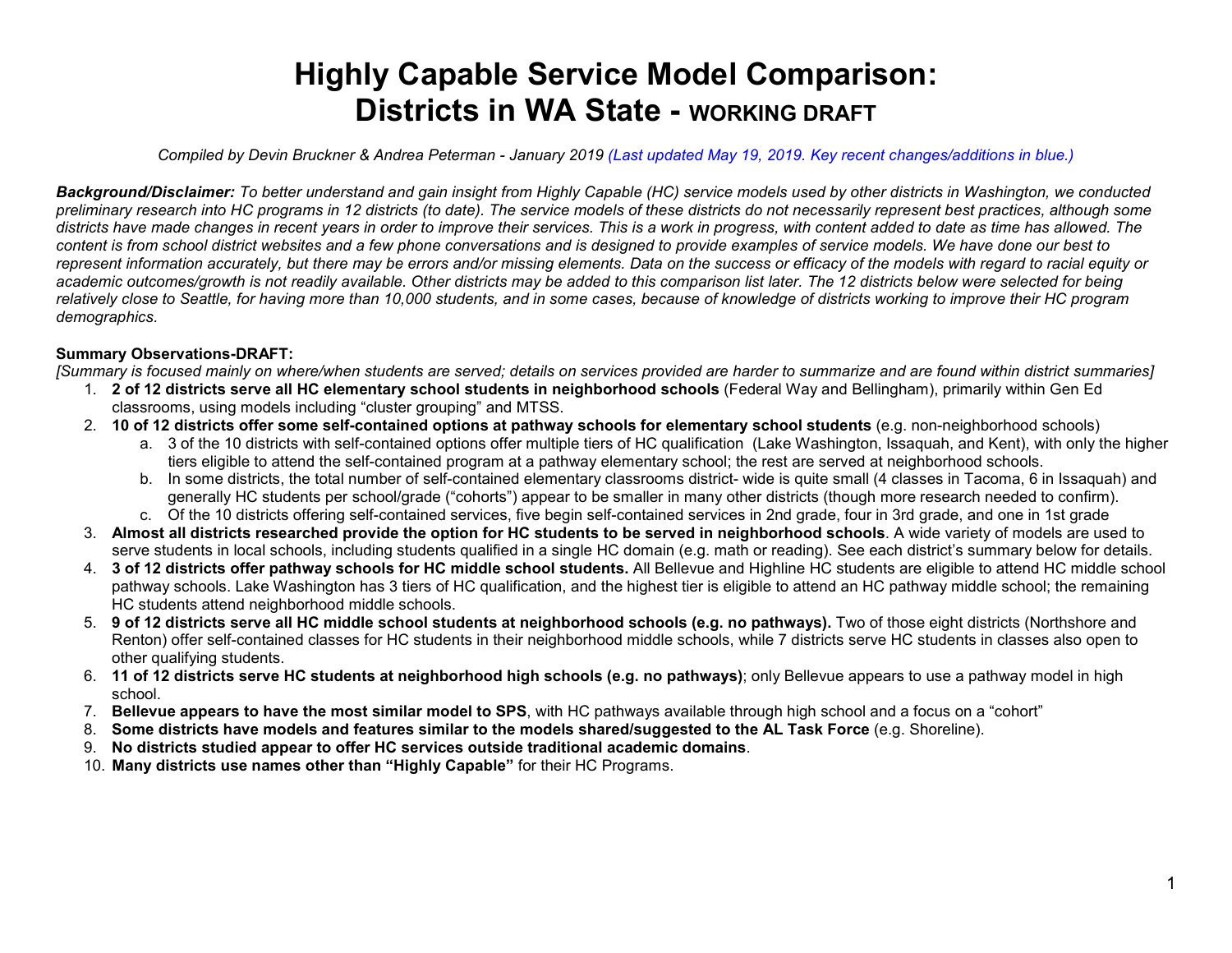# **Highly Capable Service Model Comparison: Districts in WA State - WORKING DRAFT**

*Compiled by Devin Bruckner & Andrea Peterman - January 2019 (Last updated May 19, 2019. Key recent changes/additions in blue.)*

*Background/Disclaimer: To better understand and gain insight from Highly Capable (HC) service models used by other districts in Washington, we conducted preliminary research into HC programs in 12 districts (to date). The service models of these districts do not necessarily represent best practices, although some districts have made changes in recent years in order to improve their services. This is a work in progress, with content added to date as time has allowed. The content is from school district websites and a few phone conversations and is designed to provide examples of service models. We have done our best to represent information accurately, but there may be errors and/or missing elements. Data on the success or efficacy of the models with regard to racial equity or academic outcomes/growth is not readily available. Other districts may be added to this comparison list later. The 12 districts below were selected for being relatively close to Seattle, for having more than 10,000 students, and in some cases, because of knowledge of districts working to improve their HC program demographics.*

## **Summary Observations-DRAFT:**

*[Summary is focused mainly on where/when students are served; details on services provided are harder to summarize and are found within district summaries]*

- 1. **2 of 12 districts serve all HC elementary school students in neighborhood schools** (Federal Way and Bellingham), primarily within Gen Ed classrooms, using models including "cluster grouping" and MTSS.
- 2. **10 of 12 districts offer some self-contained options at pathway schools for elementary school students** (e.g. non-neighborhood schools)
	- a. 3 of the 10 districts with self-contained options offer multiple tiers of HC qualification (Lake Washington, Issaquah, and Kent), with only the higher tiers eligible to attend the self-contained program at a pathway elementary school; the rest are served at neighborhood schools.
	- b. In some districts, the total number of self-contained elementary classrooms district- wide is quite small (4 classes in Tacoma, 6 in Issaquah) and generally HC students per school/grade ("cohorts") appear to be smaller in many other districts (though more research needed to confirm).
	- c. Of the 10 districts offering self-contained services, five begin self-contained services in 2nd grade, four in 3rd grade, and one in 1st grade
- 3. **Almost all districts researched provide the option for HC students to be served in neighborhood schools**. A wide variety of models are used to serve students in local schools, including students qualified in a single HC domain (e.g. math or reading). See each district's summary below for details.
- 4. **3 of 12 districts offer pathway schools for HC middle school students.** All Bellevue and Highline HC students are eligible to attend HC middle school pathway schools. Lake Washington has 3 tiers of HC qualification, and the highest tier is eligible to attend an HC pathway middle school; the remaining HC students attend neighborhood middle schools.
- 5. **9 of 12 districts serve all HC middle school students at neighborhood schools (e.g. no pathways).** Two of those eight districts (Northshore and Renton) offer self-contained classes for HC students in their neighborhood middle schools, while 7 districts serve HC students in classes also open to other qualifying students.
- 6. **11 of 12 districts serve HC students at neighborhood high schools (e.g. no pathways)**; only Bellevue appears to use a pathway model in high school.
- 7. **Bellevue appears to have the most similar model to SPS**, with HC pathways available through high school and a focus on a "cohort"
- 8. **Some districts have models and features similar to the models shared/suggested to the AL Task Force** (e.g. Shoreline).
- 9. **No districts studied appear to offer HC services outside traditional academic domains**.
- 10. **Many districts use names other than "Highly Capable"** for their HC Programs.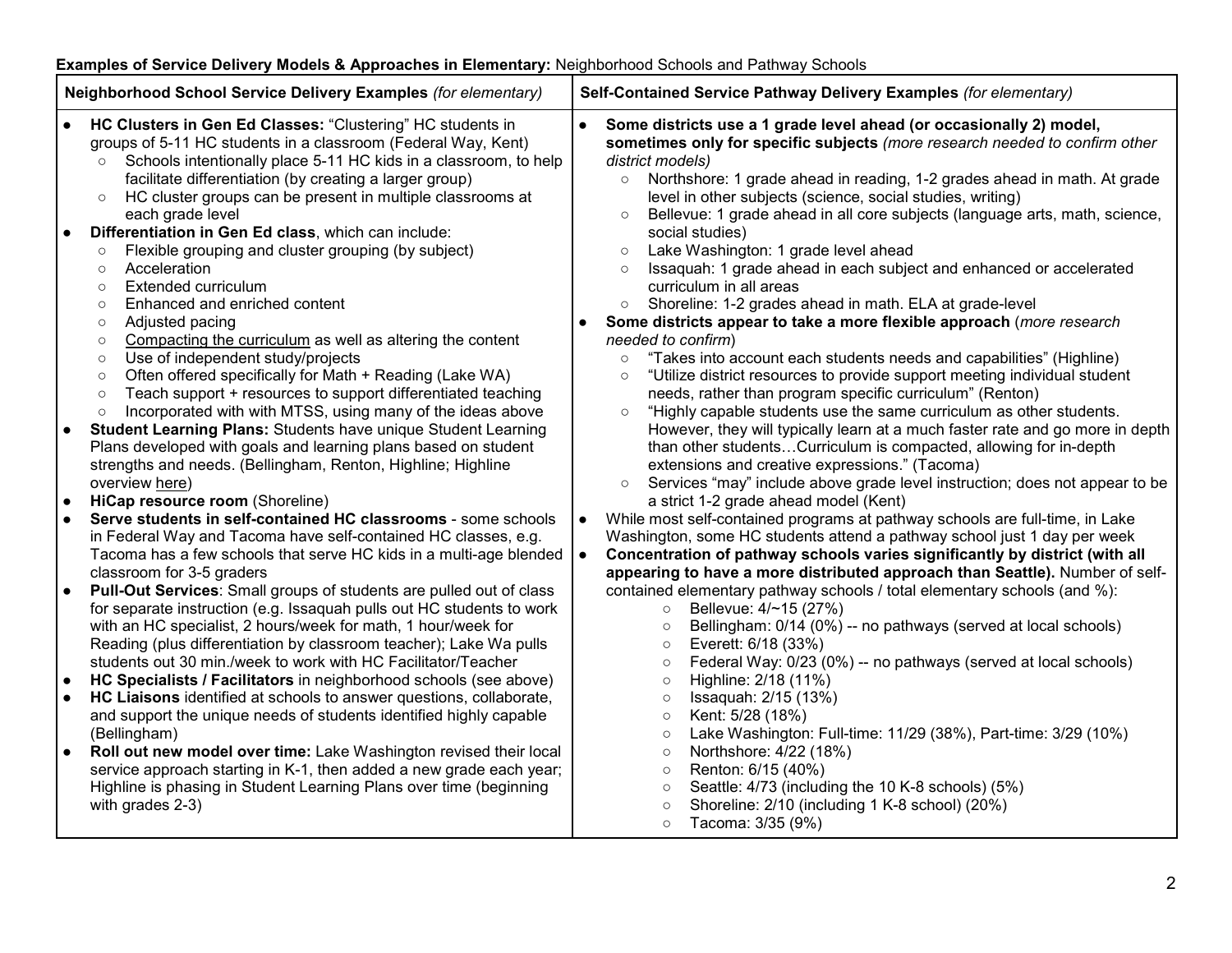# **Examples of Service Delivery Models & Approaches in Elementary: Neighborhood Schools and Pathway Schools**

| Neighborhood School Service Delivery Examples (for elementary)                                                                                                                                                                                                                                                                                                                                                                                                                                                                                                                                                                                                                                                                                                                                                                                                                                                                                                                                                                                                                                                                                                                                                                                                                                                                                                                                                                                                                                                                                                                                                                                                                                                                                                                                                                                                                                                                                                                                                                                                                                                                                                                                                                                                                                                                                                                                                                              | Self-Contained Service Pathway Delivery Examples (for elementary)                                                                                                                                                                                                                                                                                                                                                                                                                                                                                                                                                                                                                                                                                                                                                                                                                                                                                                                                                                                                                                                                                                                                                                                                                                                                                                                                                                                                                                                                                                                                                                                                                                                                                                                                                                                                                                                                                                                                                                                                                                                                                                                                                                                                                                                                                                                                                                                                                                                     |  |  |
|---------------------------------------------------------------------------------------------------------------------------------------------------------------------------------------------------------------------------------------------------------------------------------------------------------------------------------------------------------------------------------------------------------------------------------------------------------------------------------------------------------------------------------------------------------------------------------------------------------------------------------------------------------------------------------------------------------------------------------------------------------------------------------------------------------------------------------------------------------------------------------------------------------------------------------------------------------------------------------------------------------------------------------------------------------------------------------------------------------------------------------------------------------------------------------------------------------------------------------------------------------------------------------------------------------------------------------------------------------------------------------------------------------------------------------------------------------------------------------------------------------------------------------------------------------------------------------------------------------------------------------------------------------------------------------------------------------------------------------------------------------------------------------------------------------------------------------------------------------------------------------------------------------------------------------------------------------------------------------------------------------------------------------------------------------------------------------------------------------------------------------------------------------------------------------------------------------------------------------------------------------------------------------------------------------------------------------------------------------------------------------------------------------------------------------------------|-----------------------------------------------------------------------------------------------------------------------------------------------------------------------------------------------------------------------------------------------------------------------------------------------------------------------------------------------------------------------------------------------------------------------------------------------------------------------------------------------------------------------------------------------------------------------------------------------------------------------------------------------------------------------------------------------------------------------------------------------------------------------------------------------------------------------------------------------------------------------------------------------------------------------------------------------------------------------------------------------------------------------------------------------------------------------------------------------------------------------------------------------------------------------------------------------------------------------------------------------------------------------------------------------------------------------------------------------------------------------------------------------------------------------------------------------------------------------------------------------------------------------------------------------------------------------------------------------------------------------------------------------------------------------------------------------------------------------------------------------------------------------------------------------------------------------------------------------------------------------------------------------------------------------------------------------------------------------------------------------------------------------------------------------------------------------------------------------------------------------------------------------------------------------------------------------------------------------------------------------------------------------------------------------------------------------------------------------------------------------------------------------------------------------------------------------------------------------------------------------------------------------|--|--|
| <b>HC Clusters in Gen Ed Classes: "Clustering" HC students in</b><br>groups of 5-11 HC students in a classroom (Federal Way, Kent)<br>Schools intentionally place 5-11 HC kids in a classroom, to help<br>facilitate differentiation (by creating a larger group)<br>HC cluster groups can be present in multiple classrooms at<br>$\circ$<br>each grade level<br>Differentiation in Gen Ed class, which can include:<br>$\bullet$<br>Flexible grouping and cluster grouping (by subject)<br>$\circ$<br>Acceleration<br>$\circ$<br><b>Extended curriculum</b><br>$\circ$<br>Enhanced and enriched content<br>$\circ$<br>Adjusted pacing<br>$\circ$<br>Compacting the curriculum as well as altering the content<br>$\circ$<br>Use of independent study/projects<br>$\circ$<br>Often offered specifically for Math + Reading (Lake WA)<br>$\circ$<br>Teach support + resources to support differentiated teaching<br>$\circ$<br>Incorporated with with MTSS, using many of the ideas above<br>$\circ$<br><b>Student Learning Plans: Students have unique Student Learning</b><br>$\bullet$<br>Plans developed with goals and learning plans based on student<br>strengths and needs. (Bellingham, Renton, Highline; Highline<br>overview here)<br>HiCap resource room (Shoreline)<br>$\bullet$<br>Serve students in self-contained HC classrooms - some schools<br>$\bullet$<br>in Federal Way and Tacoma have self-contained HC classes, e.g.<br>Tacoma has a few schools that serve HC kids in a multi-age blended<br>classroom for 3-5 graders<br><b>Pull-Out Services:</b> Small groups of students are pulled out of class<br>$\bullet$<br>for separate instruction (e.g. Issaquah pulls out HC students to work<br>with an HC specialist, 2 hours/week for math, 1 hour/week for<br>Reading (plus differentiation by classroom teacher); Lake Wa pulls<br>students out 30 min./week to work with HC Facilitator/Teacher<br>HC Specialists / Facilitators in neighborhood schools (see above)<br>$\bullet$<br>HC Liaisons identified at schools to answer questions, collaborate,<br>$\bullet$<br>and support the unique needs of students identified highly capable<br>(Bellingham)<br>Roll out new model over time: Lake Washington revised their local<br>$\bullet$<br>service approach starting in K-1, then added a new grade each year;<br>Highline is phasing in Student Learning Plans over time (beginning<br>with grades 2-3) | $\bullet$<br>Some districts use a 1 grade level ahead (or occasionally 2) model,<br>sometimes only for specific subjects (more research needed to confirm other<br>district models)<br>Northshore: 1 grade ahead in reading, 1-2 grades ahead in math. At grade<br>$\circ$<br>level in other subjects (science, social studies, writing)<br>Bellevue: 1 grade ahead in all core subjects (language arts, math, science,<br>$\circ$<br>social studies)<br>Lake Washington: 1 grade level ahead<br>$\circ$<br>Issaquah: 1 grade ahead in each subject and enhanced or accelerated<br>$\circ$<br>curriculum in all areas<br>Shoreline: 1-2 grades ahead in math. ELA at grade-level<br>$\circ$<br>Some districts appear to take a more flexible approach (more research<br>needed to confirm)<br>"Takes into account each students needs and capabilities" (Highline)<br>$\circ$<br>"Utilize district resources to provide support meeting individual student<br>$\circ$<br>needs, rather than program specific curriculum" (Renton)<br>"Highly capable students use the same curriculum as other students.<br>$\circ$<br>However, they will typically learn at a much faster rate and go more in depth<br>than other studentsCurriculum is compacted, allowing for in-depth<br>extensions and creative expressions." (Tacoma)<br>Services "may" include above grade level instruction; does not appear to be<br>$\circ$<br>a strict 1-2 grade ahead model (Kent)<br>While most self-contained programs at pathway schools are full-time, in Lake<br>$\bullet$<br>Washington, some HC students attend a pathway school just 1 day per week<br>Concentration of pathway schools varies significantly by district (with all<br>$\bullet$<br>appearing to have a more distributed approach than Seattle). Number of self-<br>contained elementary pathway schools / total elementary schools (and %):<br>Bellevue: 4/~15 (27%)<br>$\circ$<br>Bellingham: 0/14 (0%) -- no pathways (served at local schools)<br>$\circ$<br>Everett: 6/18 (33%)<br>$\circ$<br>Federal Way: 0/23 (0%) -- no pathways (served at local schools)<br>$\circ$<br>Highline: 2/18 (11%)<br>$\circ$<br>Issaquah: 2/15 (13%)<br>$\circ$<br>Kent: 5/28 (18%)<br>$\circ$<br>Lake Washington: Full-time: 11/29 (38%), Part-time: 3/29 (10%)<br>$\circ$<br>Northshore: 4/22 (18%)<br>$\circ$<br>Renton: 6/15 (40%)<br>$\circ$<br>Seattle: 4/73 (including the 10 K-8 schools) (5%)<br>$\circ$<br>Shoreline: 2/10 (including 1 K-8 school) (20%)<br>$\circ$ |  |  |
|                                                                                                                                                                                                                                                                                                                                                                                                                                                                                                                                                                                                                                                                                                                                                                                                                                                                                                                                                                                                                                                                                                                                                                                                                                                                                                                                                                                                                                                                                                                                                                                                                                                                                                                                                                                                                                                                                                                                                                                                                                                                                                                                                                                                                                                                                                                                                                                                                                             | Tacoma: 3/35 (9%)<br>$\circ$                                                                                                                                                                                                                                                                                                                                                                                                                                                                                                                                                                                                                                                                                                                                                                                                                                                                                                                                                                                                                                                                                                                                                                                                                                                                                                                                                                                                                                                                                                                                                                                                                                                                                                                                                                                                                                                                                                                                                                                                                                                                                                                                                                                                                                                                                                                                                                                                                                                                                          |  |  |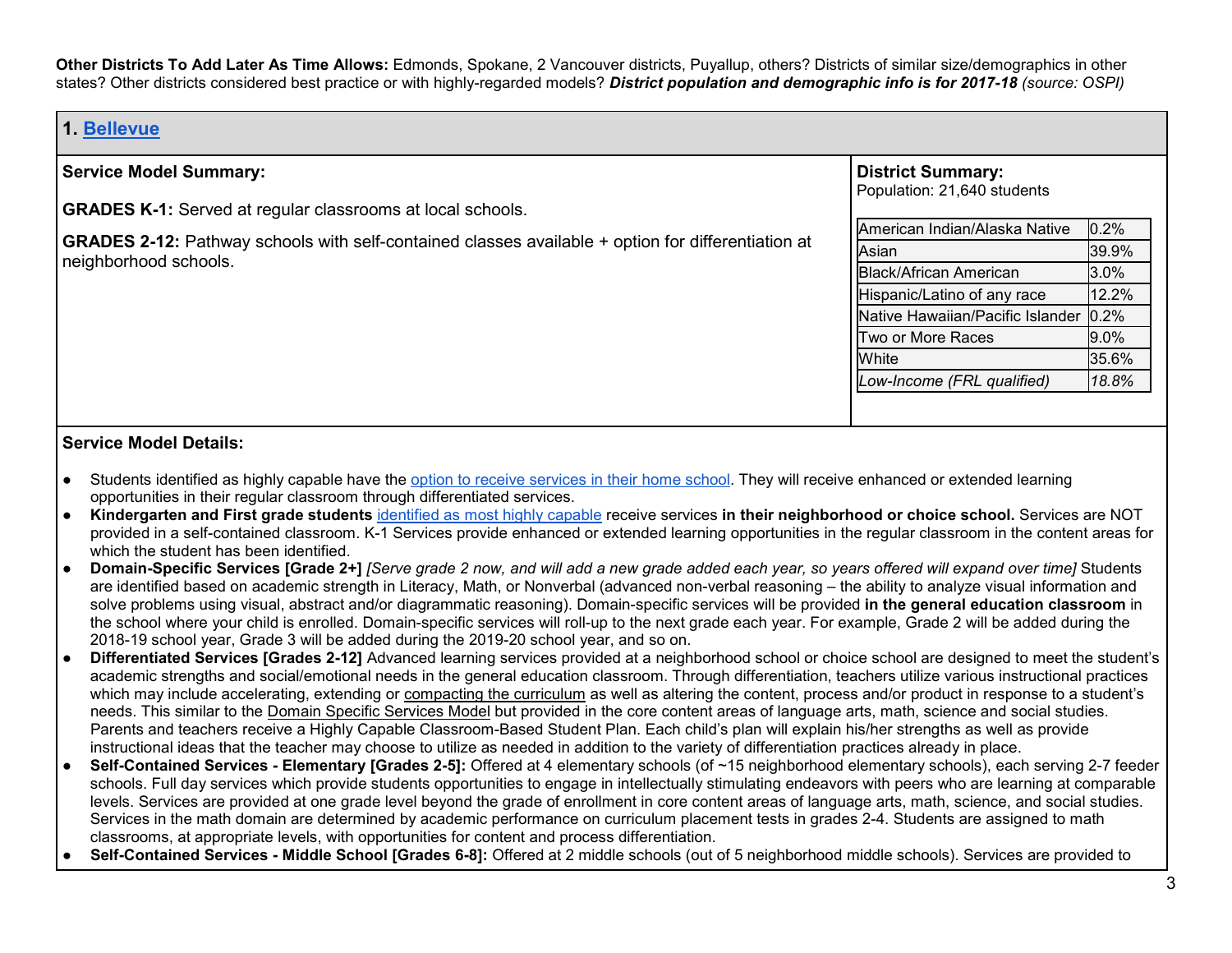**Other Districts To Add Later As Time Allows:** Edmonds, Spokane, 2 Vancouver districts, Puyallup, others? Districts of similar size/demographics in other states? Other districts considered best practice or with highly-regarded models? *District population and demographic info is for 2017-18 (source: OSPI)*

> **District Summary:** Population: 21,640 students

American Indian/Alaska Native 10.2% Asian 39.9% Black/African American 3.0% Hispanic/Latino of any race 12.2% Native Hawaiian/Pacific Islander 0.2% Two or More Races 9.0%  $\blacksquare$ White  $\blacksquare$ *Low-Income (FRL qualified) 18.8%*

# **1. [Bellevue](https://bsd405.org/services/advanced-learning/)**

### **Service Model Summary:**

**GRADES K-1:** Served at regular classrooms at local schools.

**GRADES 2-12:** Pathway schools with self-contained classes available + option for differentiation at neighborhood schools.

- Students identified as highly capable have the [option to receive services in their home school.](https://bsd405.org/services/advanced-learning/change-of-service-options/) They will receive enhanced or extended learning opportunities in their regular classroom through differentiated services.
- **Kindergarten and First grade students** [identified as most highly capable](http://bsd405.org/programs/gifted/identification-process/#test-scores-needed) receive services **in their neighborhood or choice school.** Services are NOT provided in a self-contained classroom. K-1 Services provide enhanced or extended learning opportunities in the regular classroom in the content areas for which the student has been identified.
- **Domain-Specific Services [Grade 2+]** *[Serve grade 2 now, and will add a new grade added each year, so years offered will expand over time]* Students are identified based on academic strength in Literacy, Math, or Nonverbal (advanced non-verbal reasoning – the ability to analyze visual information and solve problems using visual, abstract and/or diagrammatic reasoning). Domain-specific services will be provided **in the general education classroom** in the school where your child is enrolled. Domain-specific services will roll-up to the next grade each year. For example, Grade 2 will be added during the 2018-19 school year, Grade 3 will be added during the 2019-20 school year, and so on.
- **Differentiated Services [Grades 2-12]** Advanced learning services provided at a neighborhood school or choice school are designed to meet the student's academic strengths and social/emotional needs in the general education classroom. Through differentiation, teachers utilize various instructional practices which may include accelerating, extending or [compacting the curriculum](https://bsd405.org/services/advanced-learning/curriculum/) as well as altering the content, process and/or product in response to a student's needs. This similar to th[e](https://bsd405.org/wp-content/uploads/2018/05/Domain-Specific-Services-Model.pdf) [Domain Specific Services Model](https://bsd405.org/wp-content/uploads/2018/05/Domain-Specific-Services-Model.pdf) but provided in the core content areas of language arts, math, science and social studies. Parents and teachers receive a Highly Capable Classroom-Based Student Plan. Each child's plan will explain his/her strengths as well as provide instructional ideas that the teacher may choose to utilize as needed in addition to the variety of differentiation practices already in place.
- **Self-Contained Services Elementary [Grades 2-5]:** Offered at 4 elementary schools (of ~15 neighborhood elementary schools), each serving 2-7 feeder schools. Full day services which provide students opportunities to engage in intellectually stimulating endeavors with peers who are learning at comparable levels. Services are provided at one grade level beyond the grade of enrollment in core content areas of language arts, math, science, and social studies. Services in the math domain are determined by academic performance on curriculum placement tests in grades 2-4. Students are assigned to math classrooms, at appropriate levels, with opportunities for content and process differentiation.
- **Self-Contained Services - Middle School [Grades 6-8]:** Offered at 2 middle schools (out of 5 neighborhood middle schools). Services are provided to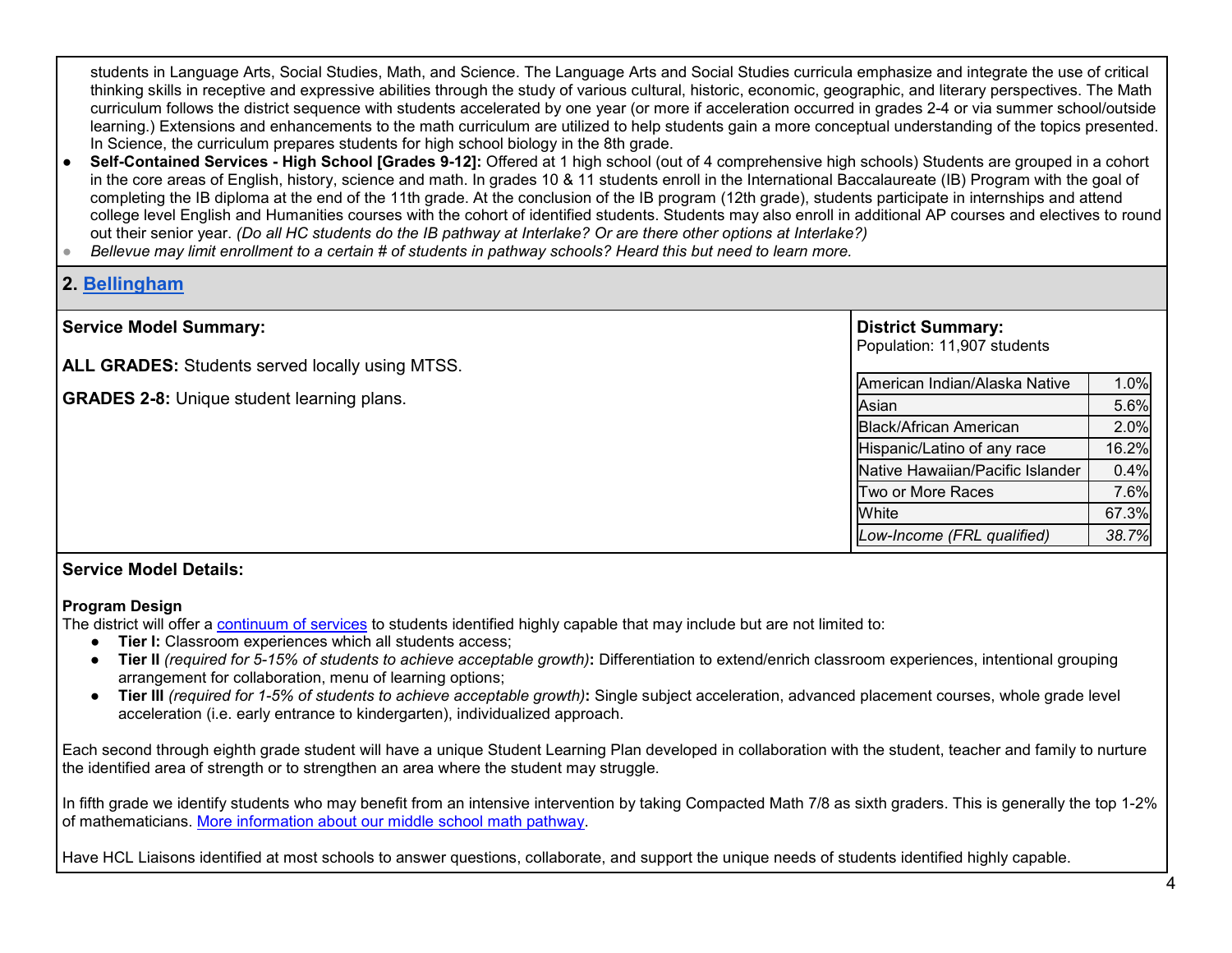students in Language Arts, Social Studies, Math, and Science. The Language Arts and Social Studies curricula emphasize and integrate the use of critical thinking skills in receptive and expressive abilities through the study of various cultural, historic, economic, geographic, and literary perspectives. The Math curriculum follows the district sequence with students accelerated by one year (or more if acceleration occurred in grades 2-4 or via summer school/outside learning.) Extensions and enhancements to the math curriculum are utilized to help students gain a more conceptual understanding of the topics presented. In Science, the curriculum prepares students for high school biology in the 8th grade.

Self-Contained Services - High School [Grades 9-12]: Offered at 1 high school (out of 4 comprehensive high schools) Students are grouped in a cohort in the core areas of English, history, science and math. In grades 10 & 11 students enroll in the International Baccalaureate (IB) Program with the goal of completing the IB diploma at the end of the 11th grade. At the conclusion of the IB program (12th grade), students participate in internships and attend college level English and Humanities courses with the cohort of identified students. Students may also enroll in additional AP courses and electives to round out their senior year. *(Do all HC students do the IB pathway at Interlake? Or are there other options at Interlake?)* 

● *Bellevue may limit enrollment to a certain # of students in pathway schools? Heard this but need to learn more.* 

# **2. [Bellingham](http://bellinghamschools.org/programs/highly-capable-learners-hcl/)**

| <b>Service Model Summary:</b>                          | <b>District Summary:</b>         |       |
|--------------------------------------------------------|----------------------------------|-------|
| <b>ALL GRADES:</b> Students served locally using MTSS. | Population: 11,907 students      |       |
|                                                        | American Indian/Alaska Native    | 1.0%  |
| <b>GRADES 2-8: Unique student learning plans.</b>      | Asian                            | 5.6%  |
|                                                        | <b>Black/African American</b>    | 2.0%  |
|                                                        | Hispanic/Latino of any race      | 16.2% |
|                                                        | Native Hawaiian/Pacific Islander | 0.4%  |
|                                                        | Two or More Races                | 7.6%  |
|                                                        | White                            | 67.3% |
|                                                        | Low-Income (FRL qualified)       | 38.7% |

## **Service Model Details:**

#### **Program Design**

The district will offer a [continuum of services](https://bellinghamschools.org/program/highly-capable-approach-overview/) to students identified highly capable that may include but are not limited to:

- **Tier I:** Classroom experiences which all students access;
- **Tier II** *(required for 5-15% of students to achieve acceptable growth)***:** Differentiation to extend/enrich classroom experiences, intentional grouping arrangement for collaboration, menu of learning options;
- **Tier III** *(required for 1-5% of students to achieve acceptable growth)***:** Single subject acceleration, advanced placement courses, whole grade level acceleration (i.e. early entrance to kindergarten), individualized approach.

Each second through eighth grade student will have a unique Student Learning Plan developed in collaboration with the student, teacher and family to nurture the identified area of strength or to strengthen an area where the student may struggle.

In fifth grade we identify students who may benefit from an intensive intervention by taking Compacted Math 7/8 as sixth graders. This is generally the top 1-2% of mathematicians. [More information about our middle school math pathway.](https://bellinghamschools.org/families/academics/middle-school-math-q/)

Have HCL Liaisons identified at most schools to answer questions, collaborate, and support the unique needs of students identified highly capable.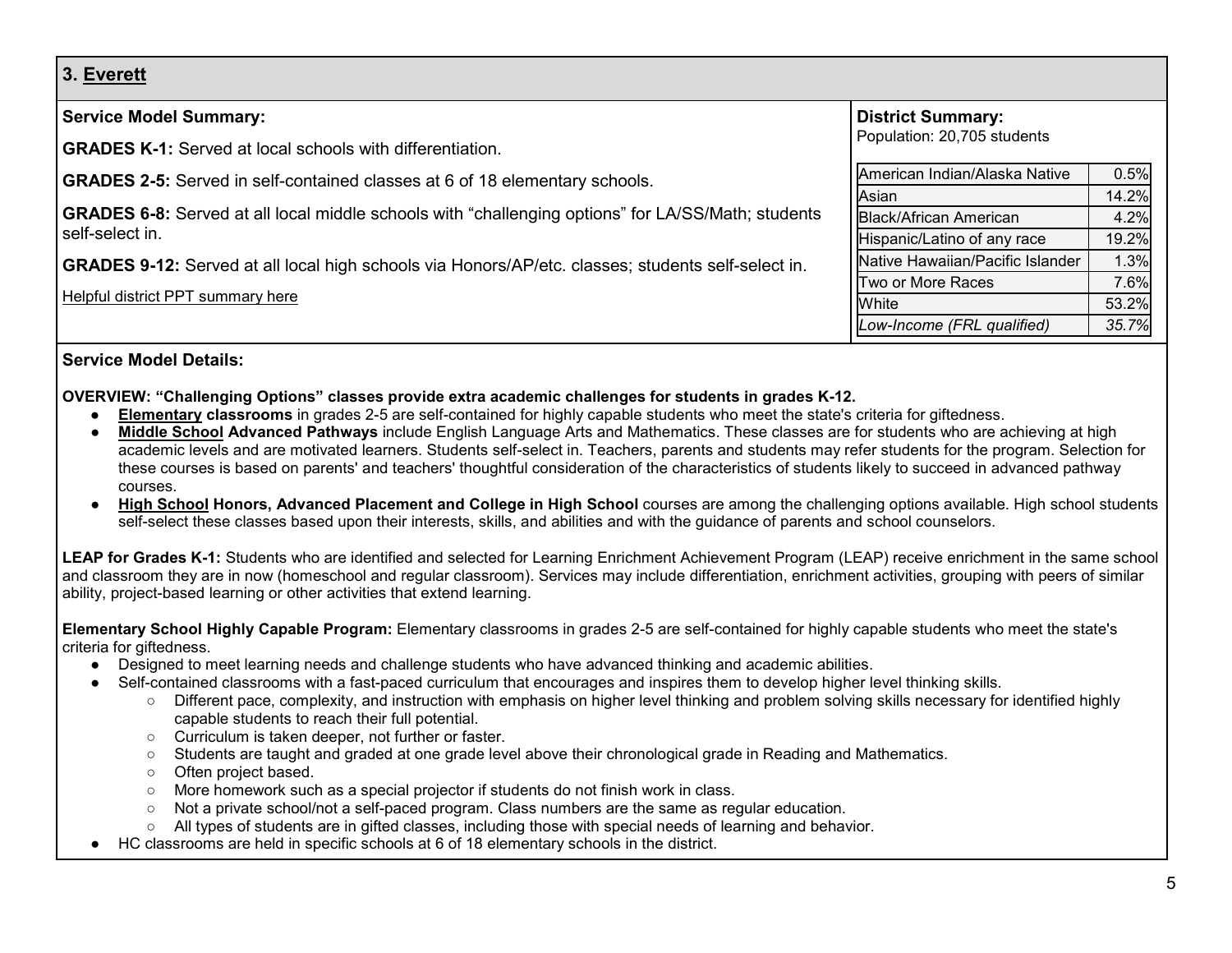**3. [Everett](https://www.everettsd.org/Page/5961)**

| <b>District Summary:</b>         |                                                            |
|----------------------------------|------------------------------------------------------------|
|                                  |                                                            |
| American Indian/Alaska Native    | 0.5%                                                       |
| Asian                            | 14.2%                                                      |
| <b>Black/African American</b>    | 4.2%                                                       |
|                                  | 19.2%                                                      |
| Native Hawaiian/Pacific Islander | 1.3%                                                       |
| Two or More Races                | 7.6%                                                       |
| White                            | 53.2%                                                      |
| Low-Income (FRL qualified)       | 35.7%                                                      |
|                                  | Population: 20,705 students<br>Hispanic/Latino of any race |

# **Service Model Details:**

#### **OVERVIEW: "Challenging Options" classes provide extra academic challenges for students in grades K-12.**

- **[Elementary](https://www.everettsd.org/site/Default.aspx?PageID=6668) classrooms** in grades 2-5 are self-contained for highly capable students who meet the state's criteria for giftedness[.](https://docushare.everett.k12.wa.us/docushare/dsweb/Get/Document-48721/)
- **[Middle School](https://www.everettsd.org/site/Default.aspx?PageID=6669) Advanced Pathways** include English Language Arts and Mathematics. These classes are for students who are achieving at high academic levels and are motivated learners. Students self-select in. Teachers, parents and students may refer students for the program. Selection for these courses is based on parents' and teachers' thoughtful consideration of the characteristics of students likely to succeed in advanced pathway courses.
- **[High School](https://www.everettsd.org/site/Default.aspx?PageID=6670) Honors, Advanced Placement and College in High School** courses are among the challenging options available. High school students self-select these classes based upon their interests, skills, and abilities and with the guidance of parents and school counselors.

**LEAP for Grades K-1:** Students who are identified and selected for Learning Enrichment Achievement Program (LEAP) receive enrichment in the same school and classroom they are in now (homeschool and regular classroom). Services may include differentiation, enrichment activities, grouping with peers of similar ability, project-based learning or other activities that extend learning.

**Elementary School Highly Capable Program:** [Elementary](https://www.everettsd.org/site/Default.aspx?PageID=6668) classrooms in grades 2-5 are self-contained for highly capable students who meet the state's criteria for giftedness.

- Designed to meet learning needs and challenge students who have advanced thinking and academic abilities.
- Self-contained classrooms with a fast-paced curriculum that encourages and inspires them to develop higher level thinking skills.
	- Different pace, complexity, and instruction with emphasis on higher level thinking and problem solving skills necessary for identified highly capable students to reach their full potential.
	- Curriculum is taken deeper, not further or faster.
	- Students are taught and graded at one grade level above their chronological grade in Reading and Mathematics.
	- Often project based.
	- More homework such as a special projector if students do not finish work in class.
	- Not a private school/not a self-paced program. Class numbers are the same as regular education.
	- All types of students are in gifted classes, including those with special needs of learning and behavior.
- HC classrooms are held in specific schools at 6 of 18 elementary schools in the district.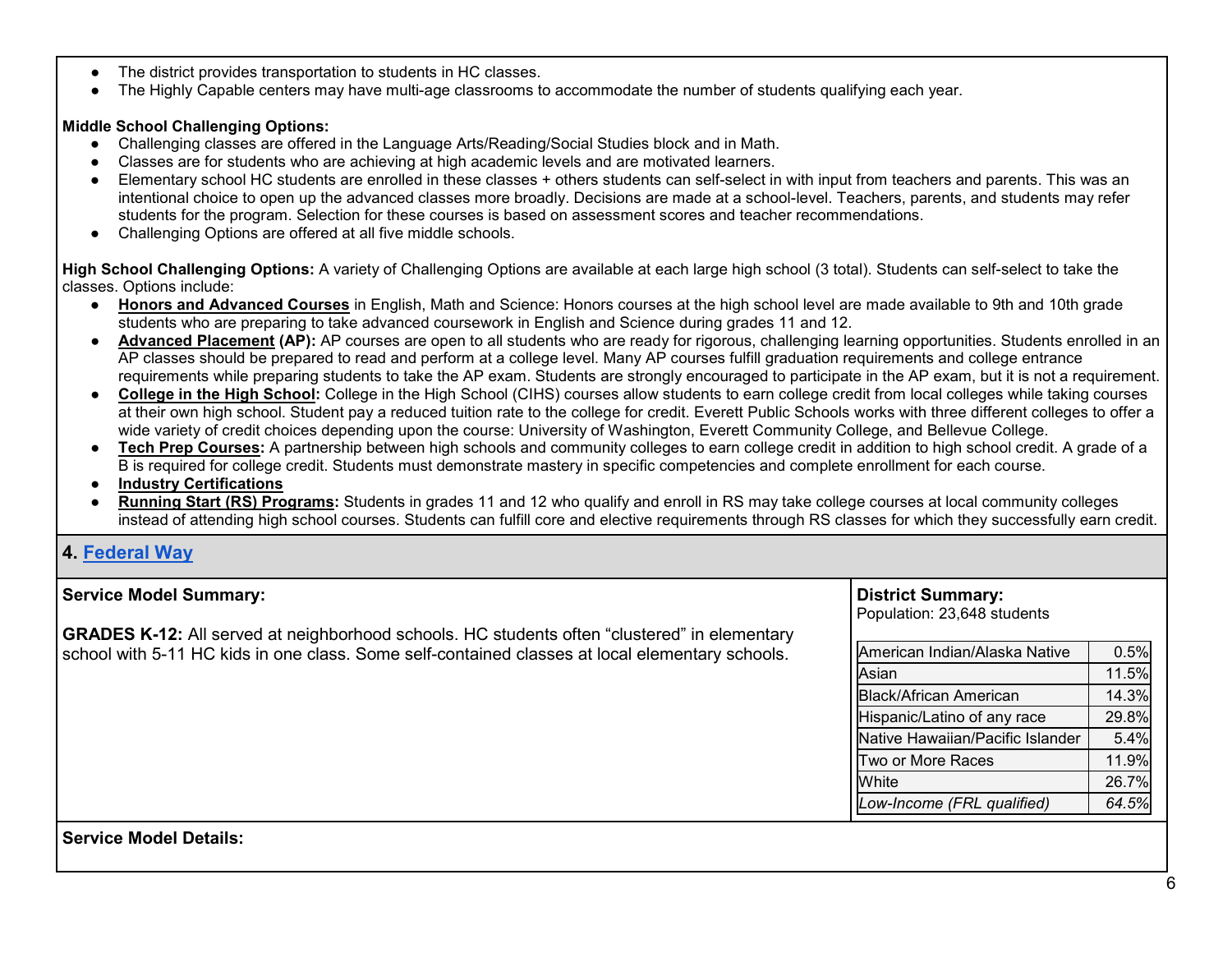- The district provides transportation to students in HC classes.
- The Highly Capable centers may have multi-age classrooms to accommodate the number of students qualifying each year.

### **Middle School Challenging Options:**

- Challenging classes are offered in the Language Arts/Reading/Social Studies block and in Math.
- Classes are for students who are achieving at high academic levels and are motivated learners.
- Elementary school HC students are enrolled in these classes + others students can self-select in with input from teachers and parents. This was an intentional choice to open up the advanced classes more broadly. Decisions are made at a school-level. Teachers, parents, and students may refer students for the program. Selection for these courses is based on assessment scores and teacher recommendations.
- Challenging Options are offered at all five middle schools.

**High School Challenging Options:** A variety of Challenging Options are available at each large high school (3 total). Students can self-select to take the classes. Options include:

- **[Honors and Advanced Courses](https://www.everettsd.org/Page/8979)** in English, Math and Science: Honors courses at the high school level are made available to 9th and 10th grade students who are preparing to take advanced coursework in English and Science during grades 11 and 12.
- **[Advanced Placement](https://www.everettsd.org/Page/8980) (AP):** AP courses are open to all students who are ready for rigorous, challenging learning opportunities. Students enrolled in an AP classes should be prepared to read and perform at a college level. Many AP courses fulfill graduation requirements and college entrance requirements while preparing students to take the AP exam. Students are strongly encouraged to participate in the AP exam, but it is not a requirement.
- **[College in the High School:](https://www.everettsd.org/Page/14945)** College in the High School (CIHS) courses allow students to earn college credit from local colleges while taking courses at their own high school. Student pay a reduced tuition rate to the college for credit. Everett Public Schools works with three different colleges to offer a wide variety of credit choices depending upon the course: University of Washington, Everett Community College, and Bellevue College.
- **[Tech Prep Courses:](https://www.everettsd.org/Page/14946)** A partnership between high schools and community colleges to earn college credit in addition to high school credit. A grade of a [B is required for college credit. Students must demonstrate mastery in specific competencies and complete enrollment for each course.](https://www.everettsd.org/Page/14946)
- **Industry Certifications**
- **[Running Start \(RS\) Programs:](https://www.everettsd.org/Page/14947)** Students in grades 11 and 12 who qualify and enroll in RS may take college courses at local community colleges instead of attending high school courses. Students can fulfill core and elective requirements through RS classes for which they successfully earn credit.

# **4. [Federal Way](https://www.fwps.org/Page/1855)**

| <b>Service Model Summary:</b>                                                                                                                                                                          | <b>District Summary:</b><br>Population: 23,648 students |       |
|--------------------------------------------------------------------------------------------------------------------------------------------------------------------------------------------------------|---------------------------------------------------------|-------|
| <b>GRADES K-12:</b> All served at neighborhood schools. HC students often "clustered" in elementary<br>school with 5-11 HC kids in one class. Some self-contained classes at local elementary schools. | American Indian/Alaska Native                           | 0.5%  |
|                                                                                                                                                                                                        | Asian                                                   | 11.5% |
|                                                                                                                                                                                                        | <b>Black/African American</b>                           | 14.3% |
|                                                                                                                                                                                                        | Hispanic/Latino of any race                             | 29.8% |
|                                                                                                                                                                                                        | Native Hawaiian/Pacific Islander                        | 5.4%  |
|                                                                                                                                                                                                        | Two or More Races                                       | 11.9% |
|                                                                                                                                                                                                        | White                                                   | 26.7% |
|                                                                                                                                                                                                        | Low-Income (FRL qualified)                              | 64.5% |
| <b>Service Model Details:</b>                                                                                                                                                                          |                                                         |       |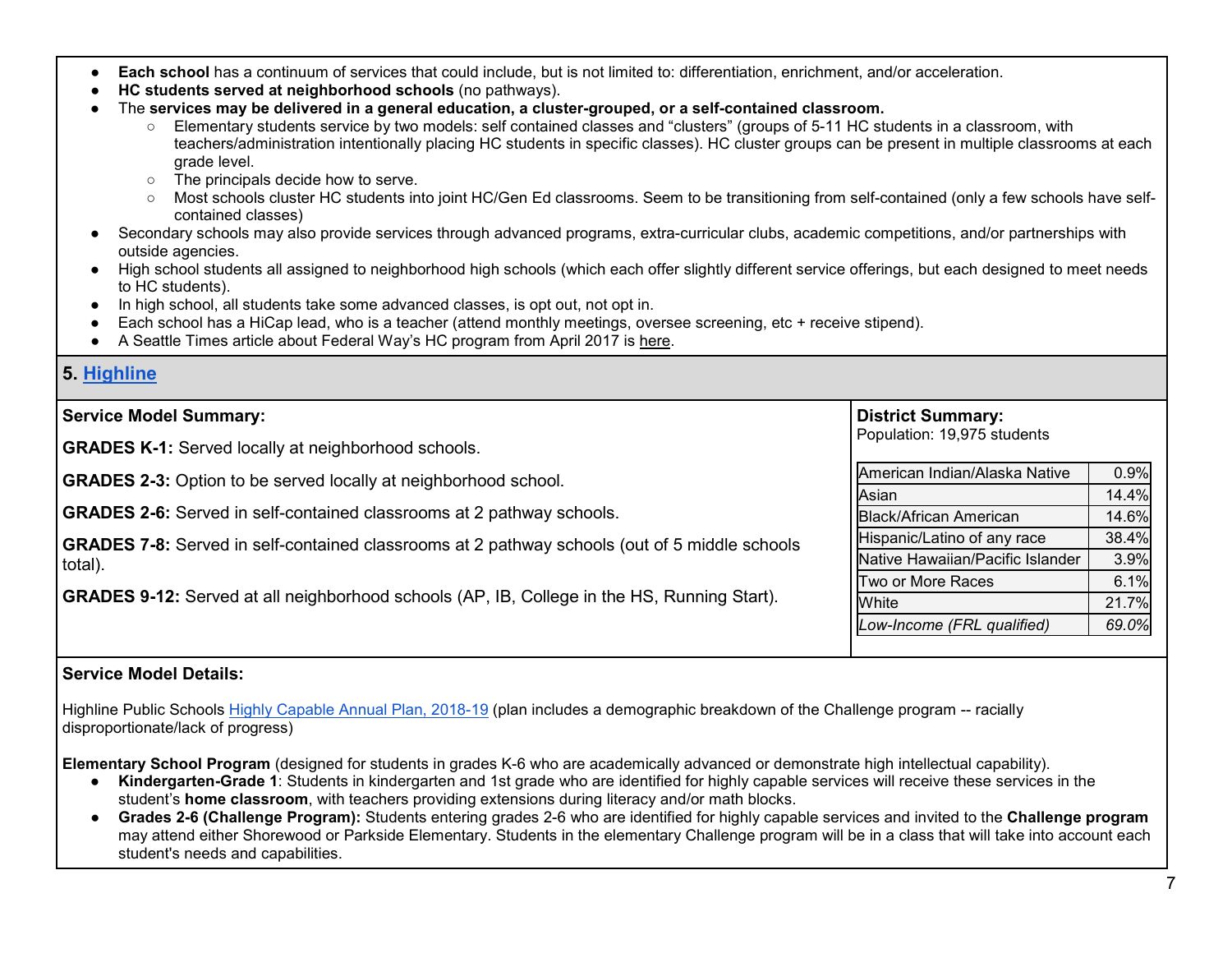- **Each school** has a continuum of services that could include, but is not limited to: differentiation, enrichment, and/or acceleration.
- **HC students served at neighborhood schools** (no pathways).
- The **services may be delivered in a general education, a cluster-grouped, or a self-contained classroom.**
	- Elementary students service by two models: self contained classes and "clusters" (groups of 5-11 HC students in a classroom, with teachers/administration intentionally placing HC students in specific classes). HC cluster groups can be present in multiple classrooms at each grade level.
	- The principals decide how to serve.
	- Most schools cluster HC students into joint HC/Gen Ed classrooms. Seem to be transitioning from self-contained (only a few schools have selfcontained classes)
- Secondary schools may also provide services through advanced programs, extra-curricular clubs, academic competitions, and/or partnerships with outside agencies.
- High school students all assigned to neighborhood high schools (which each offer slightly different service offerings, but each designed to meet needs to HC students).
- In high school, all students take some advanced classes, is opt out, not opt in.
- Each school has a HiCap lead, who is a teacher (attend monthly meetings, oversee screening, etc + receive stipend).
- A Seattle Times article about Federal Way's HC program from April 2017 is [here.](https://www.seattletimes.com/education-lab/gifted-programs-across-washington-leave-out-black-and-latino-students-except-in-federal-way/)

# **5. [Highline](https://www.highlineschools.org/academic-programs/highly-capable)**

#### **Service Model Summary: GRADES K-1:** Served locally at neighborhood schools. **GRADES 2-3:** Option to be served locally at neighborhood school. **GRADES 2-6:** Served in self-contained classrooms at 2 pathway schools. **GRADES 7-8:** Served in self-contained classrooms at 2 pathway schools (out of 5 middle schools total). **GRADES 9-12:** Served at all neighborhood schools (AP, IB, College in the HS, Running Start). **District Summary:** Population: 19,975 students American Indian/Alaska Native | 0.9% Asian 14.4% Black/African American 14.6% Hispanic/Latino of any race | 38.4% Native Hawaiian/Pacific Islander | 3.9% Two or More Races I 6.1% White 21.7% *Low-Income (FRL qualified) 69.0%*

# **Service Model Details:**

Highline Public Schools [Highly Capable Annual Plan, 2018-19](https://resources.finalsite.net/images/v1545945015/highlineschoolsorg/w3nu06g1nprqo5hpnzuo/HiCapAnnualPlan2018-19_Updated12-27-18.pdf) (plan includes a demographic breakdown of the Challenge program -- racially disproportionate/lack of progress)

**Elementary School Program** (designed for students in grades K-6 who are academically advanced or demonstrate high intellectual capability).

- **Kindergarten-Grade 1**: Students in kindergarten and 1st grade who are identified for highly capable services will receive these services in the student's **home classroom**, with teachers providing extensions during literacy and/or math blocks.
- **Grades 2-6 (Challenge Program):** Students entering grades 2-6 who are identified for highly capable services and invited to the **Challenge program**  may attend either Shorewood or Parkside Elementary. Students in the elementary Challenge program will be in a class that will take into account each student's needs and capabilities.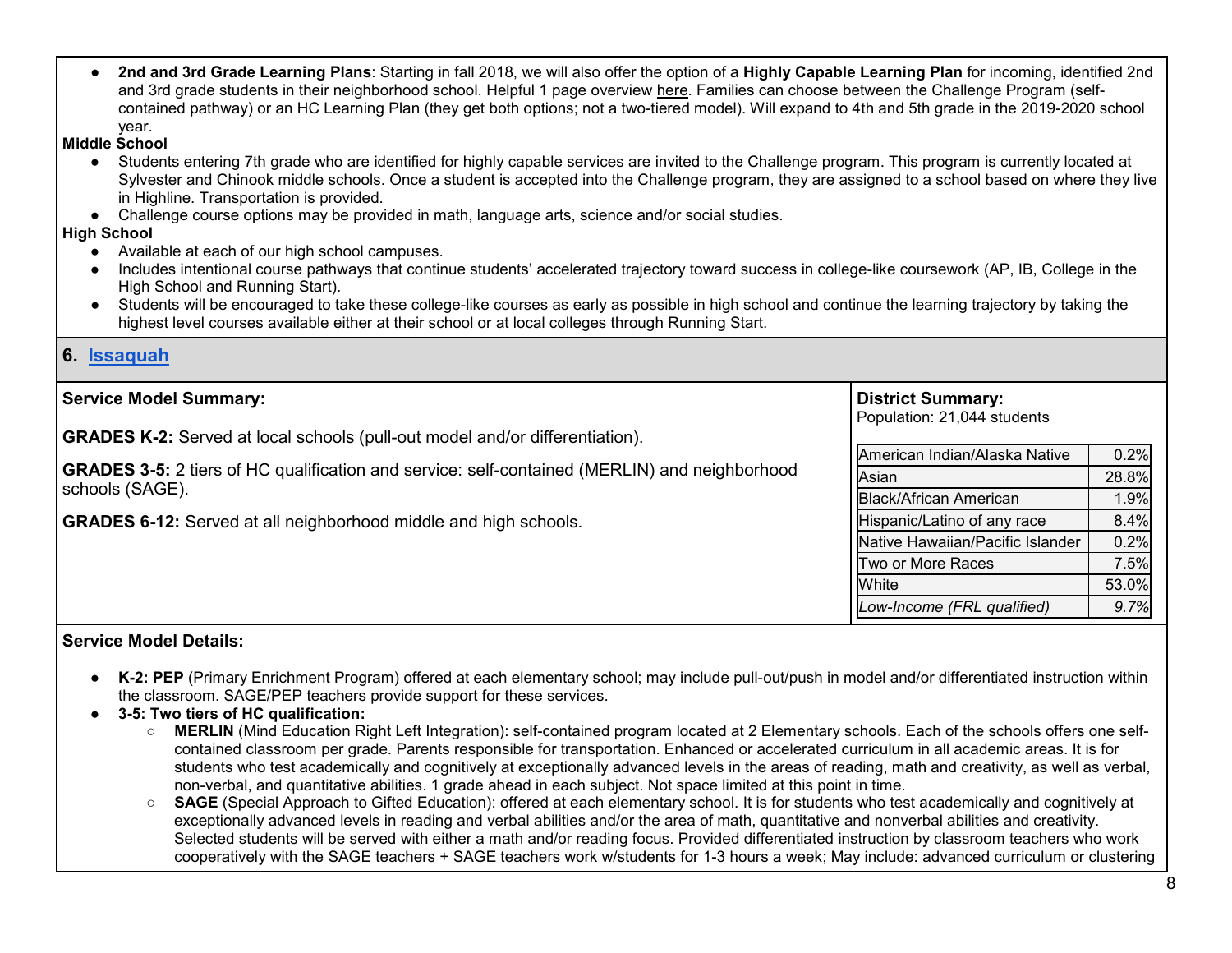● **2nd and 3rd Grade Learning Plans**: Starting in fall 2018, we will also offer the option of a **Highly Capable Learning Plan** for incoming, identified 2nd and 3rd grade students in their neighborhood school. Helpful 1 page overview [here.](https://resources.finalsite.net/images/v1541703314/highlineschoolsorg/onwz3jtu9jyuewnqhrwd/HCLPProgramFamilyFlyerFINAL.pdf) Families can choose between the Challenge Program (selfcontained pathway) or an HC Learning Plan (they get both options; not a two-tiered model). Will expand to 4th and 5th grade in the 2019-2020 school year.

#### **Middle School**

- Students entering 7th grade who are identified for highly capable services are invited to the Challenge program. This program is currently located at Sylvester and Chinook middle schools. Once a student is accepted into the Challenge program, they are assigned to a school based on where they live in Highline. Transportation is provided.
- Challenge course options may be provided in math, language arts, science and/or social studies.

#### **High School**

- Available at each of our high school campuses.
- Includes intentional course pathways that continue students' accelerated trajectory toward success in college-like coursework (AP, IB, College in the High School and Running Start).
- Students will be encouraged to take these college-like courses as early as possible in high school and continue the learning trajectory by taking the highest level courses available either at their school or at local colleges through Running Start.

## **6. [Issaquah](https://www.issaquah.wednet.edu/academics/programs/gifted)**

| <b>Service Model Summary:</b>                                                                        | <b>District Summary:</b><br>Population: 21,044 students |       |
|------------------------------------------------------------------------------------------------------|---------------------------------------------------------|-------|
| <b>GRADES K-2:</b> Served at local schools (pull-out model and/or differentiation).                  |                                                         |       |
|                                                                                                      | American Indian/Alaska Native                           | 0.2%  |
| <b>GRADES 3-5:</b> 2 tiers of HC qualification and service: self-contained (MERLIN) and neighborhood | Asian                                                   | 28.8% |
| schools (SAGE).                                                                                      | <b>Black/African American</b>                           | 1.9%  |
| <b>GRADES 6-12:</b> Served at all neighborhood middle and high schools.                              | Hispanic/Latino of any race                             | 8.4%  |
|                                                                                                      | Native Hawaiian/Pacific Islander                        | 0.2%  |
|                                                                                                      | Two or More Races                                       | 7.5%  |
|                                                                                                      | White                                                   | 53.0% |
|                                                                                                      | Low-Income (FRL qualified)                              | 9.7%  |
|                                                                                                      |                                                         |       |

- **K-2: PEP** (Primary Enrichment Program) offered at each elementary school; may include pull-out/push in model and/or differentiated instruction within the classroom. SAGE/PEP teachers provide support for these services.
- **3-5: Two tiers of HC qualification:** 
	- **MERLIN** (Mind Education Right Left Integration): self-contained program located at 2 Elementary schools. Each of the schools offers one selfcontained classroom per grade. Parents responsible for transportation. Enhanced or accelerated curriculum in all academic areas. It is for students who test academically and cognitively at exceptionally advanced levels in the areas of reading, math and creativity, as well as verbal, non-verbal, and quantitative abilities. 1 grade ahead in each subject. Not space limited at this point in time.
	- **SAGE** (Special Approach to Gifted Education): offered at each elementary school. It is for students who test academically and cognitively at exceptionally advanced levels in reading and verbal abilities and/or the area of math, quantitative and nonverbal abilities and creativity. Selected students will be served with either a math and/or reading focus. Provided differentiated instruction by classroom teachers who work cooperatively with the SAGE teachers + SAGE teachers work w/students for 1-3 hours a week; May include: advanced curriculum or clustering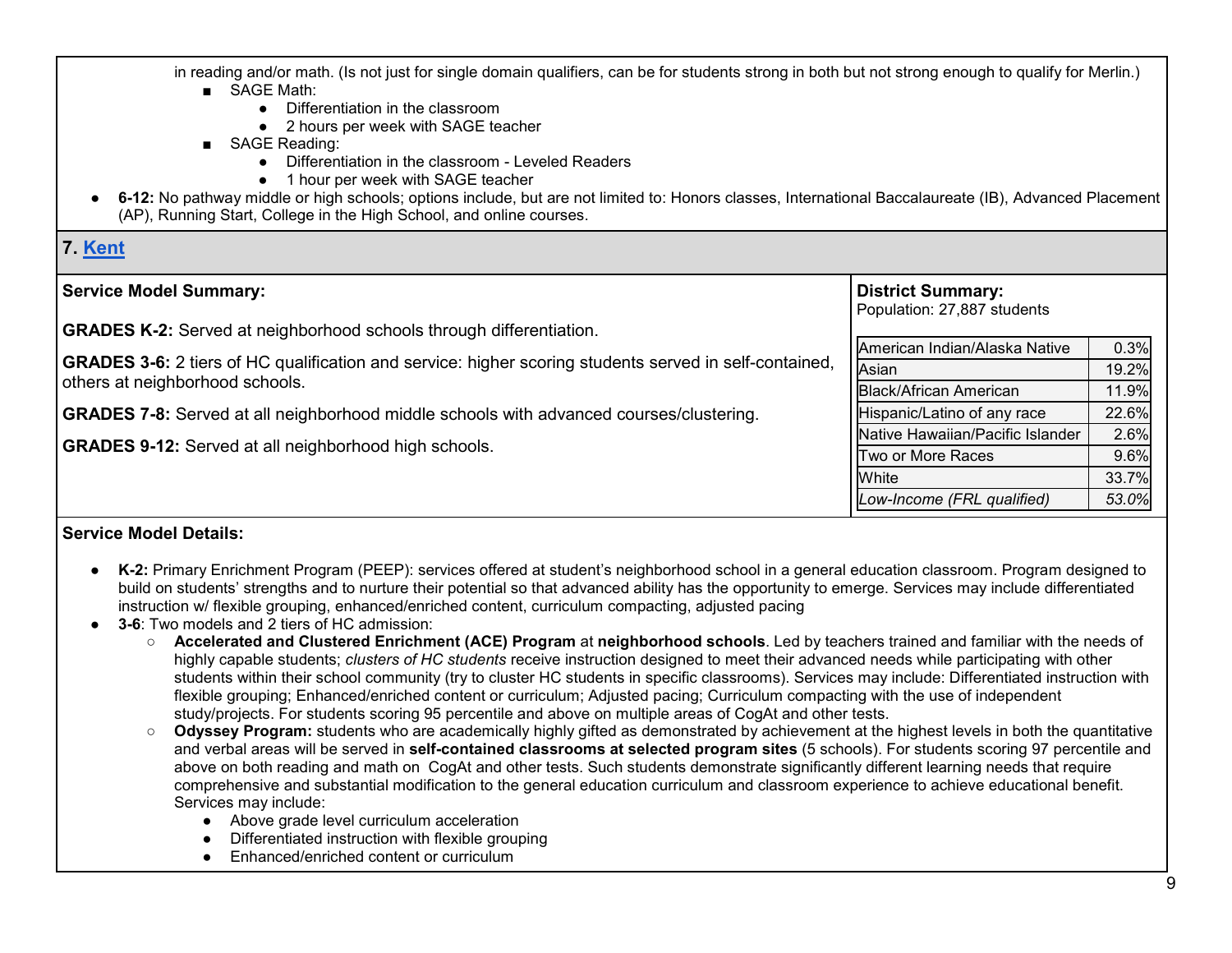in reading and/or math. (Is not just for single domain qualifiers, can be for students strong in both but not strong enough to qualify for Merlin.) ■ SAGE Math:

- Differentiation in the classroom
- 2 hours per week with SAGE teacher
- SAGE Reading:
	- Differentiation in the classroom Leveled Readers
	- 1 hour per week with SAGE teacher
- **6-12:** No pathway middle or high schools; options include, but are not limited to: Honors classes, International Baccalaureate (IB), Advanced Placement (AP), Running Start, College in the High School, and online courses.

# **7. [Kent](https://www.kent.k12.wa.us/domain/4327)**

| <b>Service Model Summary:</b><br><b>GRADES K-2:</b> Served at neighborhood schools through differentiation.   | <b>District Summary:</b><br>Population: 27,887 students |       |
|---------------------------------------------------------------------------------------------------------------|---------------------------------------------------------|-------|
|                                                                                                               | American Indian/Alaska Native                           | 0.3%  |
| <b>GRADES 3-6:</b> 2 tiers of HC qualification and service: higher scoring students served in self-contained, | Asian                                                   | 19.2% |
| others at neighborhood schools.                                                                               | <b>Black/African American</b>                           | 11.9% |
| <b>GRADES 7-8:</b> Served at all neighborhood middle schools with advanced courses/clustering.                | Hispanic/Latino of any race                             | 22.6% |
|                                                                                                               | Native Hawaiian/Pacific Islander                        | 2.6%  |
| <b>GRADES 9-12:</b> Served at all neighborhood high schools.                                                  | Two or More Races                                       | 9.6%  |
|                                                                                                               | White                                                   | 33.7% |
|                                                                                                               | Low-Income (FRL qualified)                              | 53.0% |

- **K-2:** Primary Enrichment Program (PEEP): services offered at student's neighborhood school in a general education classroom. Program designed to build on students' strengths and to nurture their potential so that advanced ability has the opportunity to emerge. Services may include differentiated instruction w/ flexible grouping, enhanced/enriched content, curriculum compacting, adjusted pacing
- **3-6**: Two models and 2 tiers of HC admission:
	- **Accelerated and Clustered Enrichment (ACE) Program** at **neighborhood schools**. Led by teachers trained and familiar with the needs of highly capable students; *clusters of HC students* receive instruction designed to meet their advanced needs while participating with other students within their school community (try to cluster HC students in specific classrooms). Services may include: Differentiated instruction with flexible grouping; Enhanced/enriched content or curriculum; Adjusted pacing; Curriculum compacting with the use of independent study/projects. For students scoring 95 percentile and above on multiple areas of CogAt and other tests.
	- **Odyssey Program:** students who are academically highly gifted as demonstrated by achievement at the highest levels in both the quantitative and verbal areas will be served in **self-contained classrooms at selected program sites** (5 schools). For students scoring 97 percentile and above on both reading and math on CogAt and other tests. Such students demonstrate significantly different learning needs that require comprehensive and substantial modification to the general education curriculum and classroom experience to achieve educational benefit. Services may include:
		- Above grade level curriculum acceleration
		- Differentiated instruction with flexible grouping
		- Enhanced/enriched content or curriculum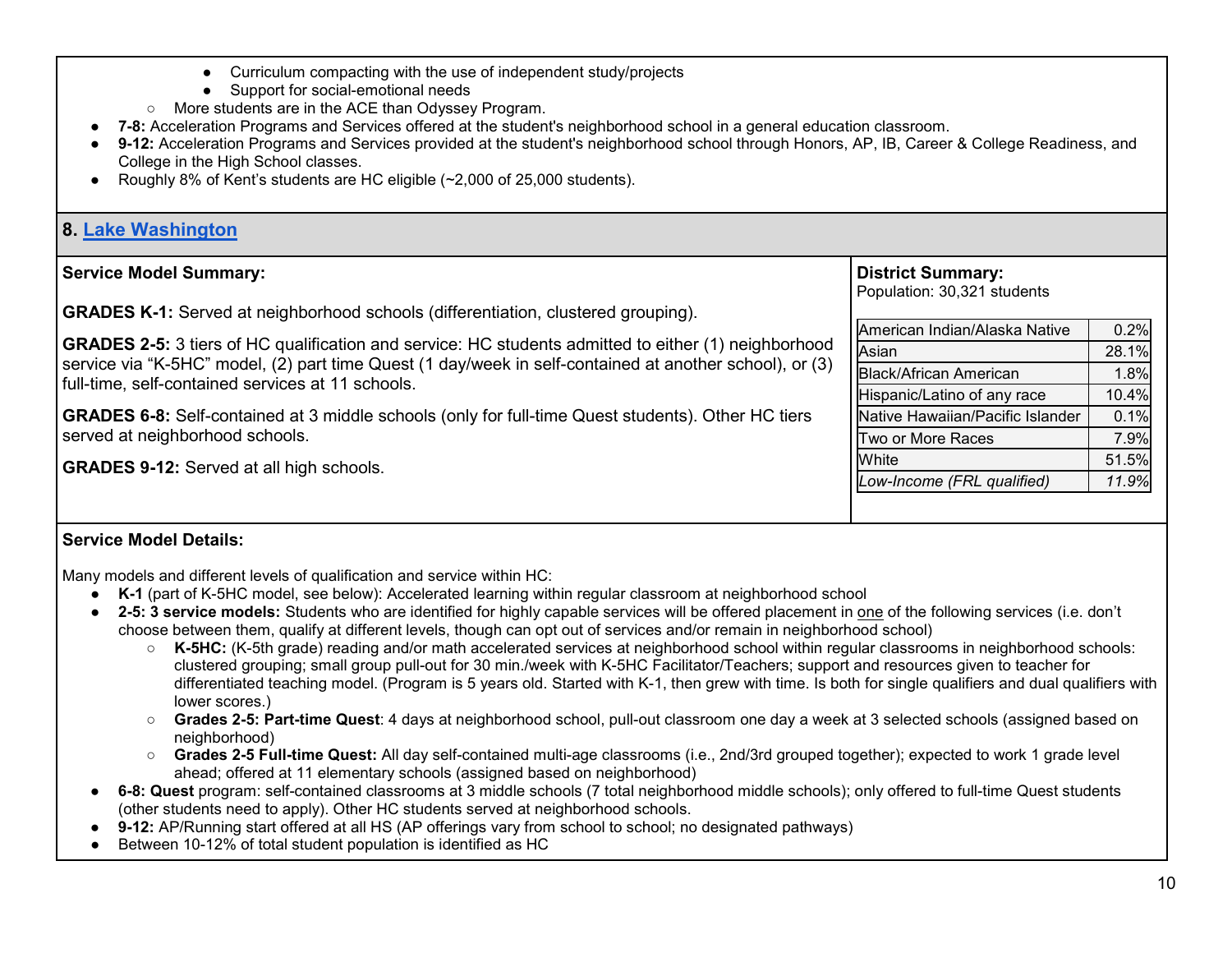- Curriculum compacting with the use of independent study/projects ● Support for social-emotional needs ○ More students are in the ACE than Odyssey Program. **7-8:** Acceleration Programs and Services offered at the student's neighborhood school in a general education classroom. ● **9-12:** Acceleration Programs and Services provided at the student's neighborhood school through Honors, AP, IB, Career & College Readiness, and College in the High School classes. ● Roughly 8% of Kent's students are HC eligible (~2,000 of 25,000 students). **8. [Lake Washington](https://www.lwsd.org/programs-and-services/accelerated-programs) Service Model Summary: GRADES K-1:** Served at neighborhood schools (differentiation, clustered grouping). **GRADES 2-5:** 3 tiers of HC qualification and service: HC students admitted to either (1) neighborhood service via "K-5HC" model, (2) part time Quest (1 day/week in self-contained at another school), or (3) full-time, self-contained services at 11 schools. **GRADES 6-8:** Self-contained at 3 middle schools (only for full-time Quest students). Other HC tiers served at neighborhood schools. **GRADES 9-12:** Served at all high schools. **District Summary:** Population: 30,321 students American Indian/Alaska Native | 0.2% Asian 28.1% Black/African American 1.8%  $H$ ispanic/Latino of any race  $10.4\%$ Native Hawaiian/Pacific Islander | 0.1% Two or More Races Two 1 7.9% White 51.5% *Low-Income (FRL qualified) 11.9%* **Service Model Details:** Many models and different levels of qualification and service within HC:
	- **K-1** (part of K-5HC model, see below): Accelerated learning within regular classroom at neighborhood school
	- **2-5: 3 service models:** Students who are identified for highly capable services will be offered placement in one of the following services (i.e. don't choose between them, qualify at different levels, though can opt out of services and/or remain in neighborhood school)
		- **K-5HC:** (K-5th grade) reading and/or math accelerated services at neighborhood school within regular classrooms in neighborhood schools: clustered grouping; small group pull-out for 30 min./week with K-5HC Facilitator/Teachers; support and resources given to teacher for differentiated teaching model. (Program is 5 years old. Started with K-1, then grew with time. Is both for single qualifiers and dual qualifiers with lower scores.)
		- **Grades 2-5: Part-time Quest**: 4 days at neighborhood school, pull-out classroom one day a week at 3 selected schools (assigned based on neighborhood)
		- **Grades 2-5 Full-time Quest:** All day self-contained multi-age classrooms (i.e., 2nd/3rd grouped together); expected to work 1 grade level ahead; offered at 11 elementary schools (assigned based on neighborhood)
	- **6-8: Quest** program: self-contained classrooms at 3 middle schools (7 total neighborhood middle schools); only offered to full-time Quest students (other students need to apply). Other HC students served at neighborhood schools.
	- 9-12: AP/Running start offered at all HS (AP offerings vary from school to school; no designated pathways)
	- Between 10-12% of total student population is identified as HC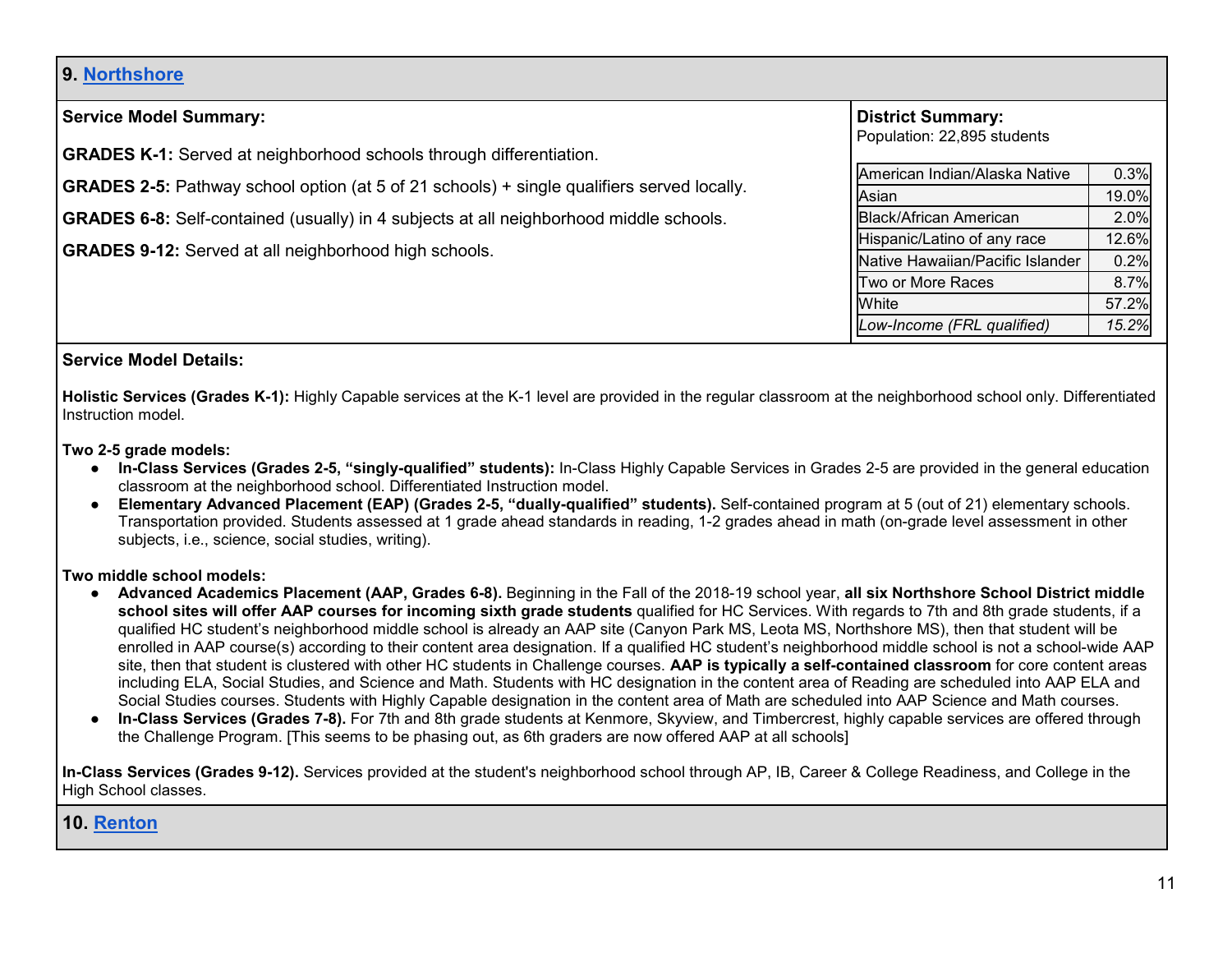# **9. [Northshore](https://www1.nsd.org/schools/programs-services/highly-capable-services)**

| <b>Service Model Summary:</b>                                                                     | <b>District Summary:</b><br>Population: 22,895 students |       |
|---------------------------------------------------------------------------------------------------|---------------------------------------------------------|-------|
| <b>GRADES K-1:</b> Served at neighborhood schools through differentiation.                        |                                                         |       |
|                                                                                                   | American Indian/Alaska Native                           | 0.3%  |
| <b>GRADES 2-5:</b> Pathway school option (at 5 of 21 schools) + single qualifiers served locally. | Asian                                                   | 19.0% |
| <b>GRADES 6-8:</b> Self-contained (usually) in 4 subjects at all neighborhood middle schools.     | <b>Black/African American</b>                           | 2.0%  |
|                                                                                                   | Hispanic/Latino of any race                             | 12.6% |
| <b>GRADES 9-12:</b> Served at all neighborhood high schools.                                      | Native Hawaiian/Pacific Islander                        | 0.2%  |
|                                                                                                   | Two or More Races                                       | 8.7%  |
|                                                                                                   | White                                                   | 57.2% |
|                                                                                                   | Low-Income (FRL qualified)                              | 15.2% |

## **Service Model Details:**

**Holistic Services (Grades K-1):** Highly Capable services at the K-1 level are provided in the regular classroom at the neighborhood school only. Differentiated Instruction model.

**Two 2-5 grade models:** 

- **In-Class Services (Grades 2-5, "singly-qualified" students):** In-Class Highly Capable Services in Grades 2-5 are provided in the general education classroom at the neighborhood school. Differentiated Instruction model.
- **Elementary Advanced Placement (EAP) (Grades 2-5, "dually-qualified" students).** Self-contained program at 5 (out of 21) elementary schools. Transportation provided. Students assessed at 1 grade ahead standards in reading, 1-2 grades ahead in math (on-grade level assessment in other subjects, i.e., science, social studies, writing).

**Two middle school models:** 

- **Advanced Academics Placement (AAP, Grades 6-8).** Beginning in the Fall of the 2018-19 school year, **all six Northshore School District middle school sites will offer AAP courses for incoming sixth grade students** qualified for HC Services. With regards to 7th and 8th grade students, if a qualified HC student's neighborhood middle school is already an AAP site (Canyon Park MS, Leota MS, Northshore MS), then that student will be enrolled in AAP course(s) according to their content area designation. If a qualified HC student's neighborhood middle school is not a school-wide AAP site, then that student is clustered with other HC students in Challenge courses. **AAP is typically a self-contained classroom** for core content areas including ELA, Social Studies, and Science and Math. Students with HC designation in the content area of Reading are scheduled into AAP ELA and Social Studies courses. Students with Highly Capable designation in the content area of Math are scheduled into AAP Science and Math courses.
- **In-Class Services (Grades 7-8).** For 7th and 8th grade students at Kenmore, Skyview, and Timbercrest, highly capable services are offered through the Challenge Program. [This seems to be phasing out, as 6th graders are now offered AAP at all schools]

**In-Class Services (Grades 9-12).** Services provided at the student's neighborhood school through AP, IB, Career & College Readiness, and College in the High School classes.

#### **10. [Renton](https://www.rentonschools.us/Page/97)**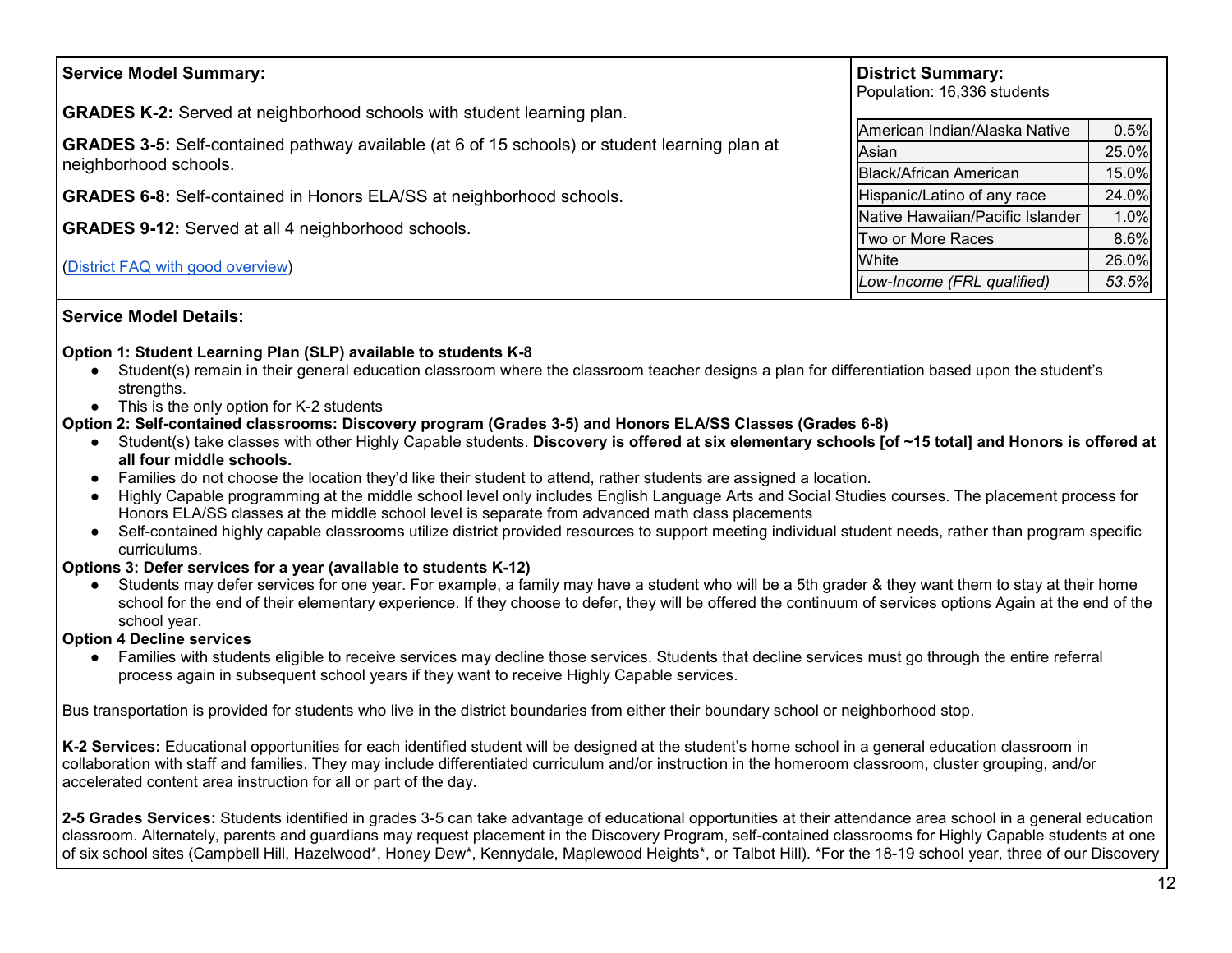| <b>Service Model Summary:</b>                                                                        | <b>District Summary:</b><br>Population: 16,336 students |       |
|------------------------------------------------------------------------------------------------------|---------------------------------------------------------|-------|
| <b>GRADES K-2:</b> Served at neighborhood schools with student learning plan.                        | American Indian/Alaska Native                           | 0.5%  |
| <b>GRADES 3-5:</b> Self-contained pathway available (at 6 of 15 schools) or student learning plan at | Asian                                                   | 25.0% |
| neighborhood schools.                                                                                | <b>Black/African American</b>                           | 15.0% |
| <b>GRADES 6-8:</b> Self-contained in Honors ELA/SS at neighborhood schools.                          | Hispanic/Latino of any race                             | 24.0% |
| <b>GRADES 9-12:</b> Served at all 4 neighborhood schools.                                            | Native Hawaiian/Pacific Islander                        | 1.0%  |
|                                                                                                      | Two or More Races                                       | 8.6%  |
| (District FAQ with good overview)                                                                    | White                                                   | 26.0% |
|                                                                                                      | Low-Income (FRL qualified)                              | 53.5% |

## **Service Model Details:**

#### **Option 1: Student Learning Plan (SLP) available to students K-8**

- Student(s) remain in their general education classroom where the classroom teacher designs a plan for differentiation based upon the student's strengths.
- This is the only option for K-2 students

#### **Option 2: Self-contained classrooms: Discovery program (Grades 3-5) and Honors ELA/SS Classes (Grades 6-8)**

- Student(s) take classes with other Highly Capable students. **Discovery is offered at six elementary schools [of ~15 total] and Honors is offered at all four middle schools.**
- Families do not choose the location they'd like their student to attend, rather students are assigned a location.
- Highly Capable programming at the middle school level only includes English Language Arts and Social Studies courses. The placement process for Honors ELA/SS classes at the middle school level is separate from advanced math class placements
- Self-contained highly capable classrooms utilize district provided resources to support meeting individual student needs, rather than program specific curriculums.

#### **Options 3: Defer services for a year (available to students K-12)**

● Students may defer services for one year. For example, a family may have a student who will be a 5th grader & they want them to stay at their home school for the end of their elementary experience. If they choose to defer, they will be offered the continuum of services options Again at the end of the school year.

#### **Option 4 Decline services**

● Families with students eligible to receive services may decline those services. Students that decline services must go through the entire referral process again in subsequent school years if they want to receive Highly Capable services.

Bus transportation is provided for students who live in the district boundaries from either their boundary school or neighborhood stop.

**K-2 Services:** Educational opportunities for each identified student will be designed at the student's home school in a general education classroom in collaboration with staff and families. They may include differentiated curriculum and/or instruction in the homeroom classroom, cluster grouping, and/or accelerated content area instruction for all or part of the day.

**2-5 Grades Services:** Students identified in grades 3-5 can take advantage of educational opportunities at their attendance area school in a general education classroom. Alternately, parents and guardians may request placement in the Discovery Program, self-contained classrooms for Highly Capable students at one of six school sites (Campbell Hill, Hazelwood\*, Honey Dew\*, Kennydale, Maplewood Heights\*, or Talbot Hill). \*For the 18-19 school year, three of our Discovery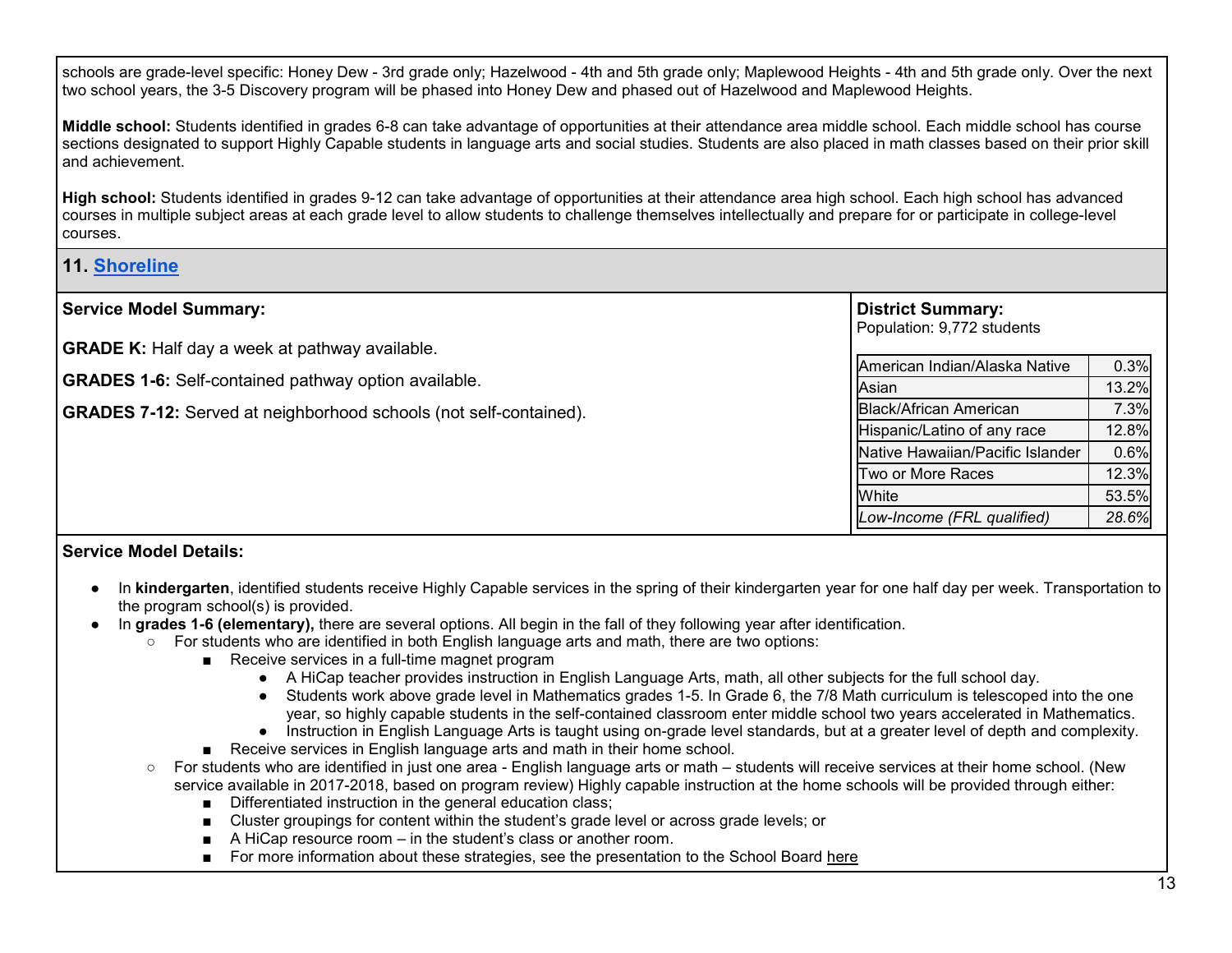schools are grade-level specific: Honey Dew - 3rd grade only; Hazelwood - 4th and 5th grade only; Maplewood Heights - 4th and 5th grade only. Over the next two school years, the 3-5 Discovery program will be phased into Honey Dew and phased out of Hazelwood and Maplewood Heights.

**Middle school:** Students identified in grades 6-8 can take advantage of opportunities at their attendance area middle school. Each middle school has course sections designated to support Highly Capable students in language arts and social studies. Students are also placed in math classes based on their prior skill and achievement.

**High school:** Students identified in grades 9-12 can take advantage of opportunities at their attendance area high school. Each high school has advanced courses in multiple subject areas at each grade level to allow students to challenge themselves intellectually and prepare for or participate in college-level courses.

# **11. [Shoreline](https://www.shorelineschools.org/domain/90)**

| <b>Service Model Summary:</b>                                            | <b>District Summary:</b><br>Population: 9,772 students |       |
|--------------------------------------------------------------------------|--------------------------------------------------------|-------|
| <b>GRADE K:</b> Half day a week at pathway available.                    | American Indian/Alaska Native                          | 0.3%  |
| <b>GRADES 1-6:</b> Self-contained pathway option available.              | Asian                                                  | 13.2% |
| <b>GRADES 7-12:</b> Served at neighborhood schools (not self-contained). | <b>Black/African American</b>                          | 7.3%  |
|                                                                          | Hispanic/Latino of any race                            | 12.8% |
|                                                                          | Native Hawaiian/Pacific Islander                       | 0.6%  |
|                                                                          | Two or More Races                                      | 12.3% |
|                                                                          | White                                                  | 53.5% |
|                                                                          | Low-Income (FRL qualified)                             | 28.6% |

- In **kindergarten**, identified students receive Highly Capable services in the spring of their kindergarten year for one half day per week. Transportation to the program school(s) is provided.
- In **grades 1-6 (elementary),** there are several options. All begin in the fall of they following year after identification.
	- For students who are identified in both English language arts and math, there are two options:
		- Receive services in a full-time magnet program
			- A HiCap teacher provides instruction in English Language Arts, math, all other subjects for the full school day.
			- Students work above grade level in Mathematics grades 1-5. In Grade 6, the 7/8 Math curriculum is telescoped into the one year, so highly capable students in the self-contained classroom enter middle school two years accelerated in Mathematics.
			- Instruction in English Language Arts is taught using on-grade level standards, but at a greater level of depth and complexity.
		- Receive services in English language arts and math in their home school.
	- For students who are identified in just one area English language arts or math students will receive services at their home school. (New service available in 2017-2018, based on program review) Highly capable instruction at the home schools will be provided through either:
		- Differentiated instruction in the general education class;
		- Cluster groupings for content within the student's grade level or across grade levels; or
		- A HiCap resource room in the student's class or another room.
		- For more information about these strategies, see the presentation to the School Board [here](https://app.eduportal.com/documents/view/620010)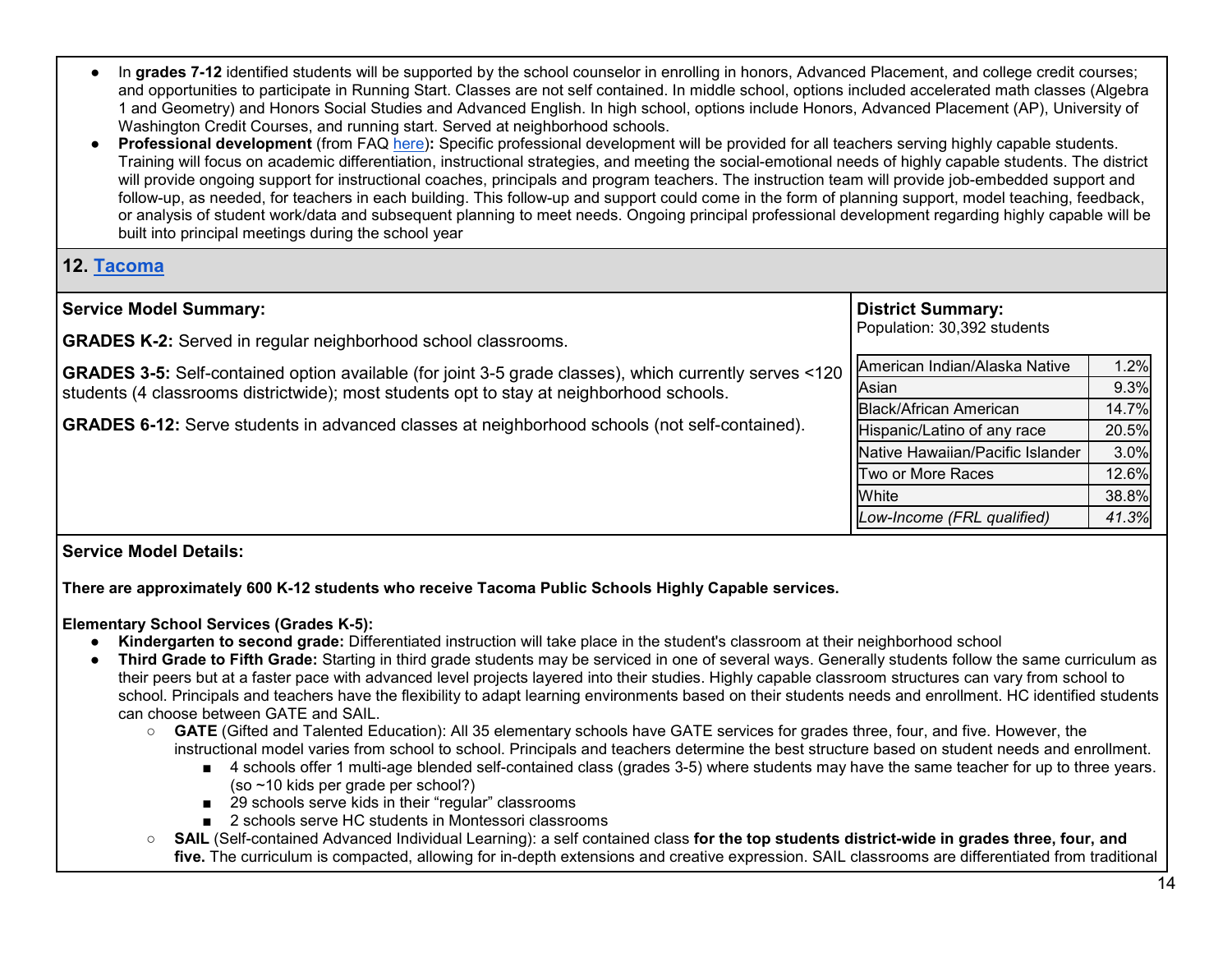- In grades 7-12 identified students will be supported by the school counselor in enrolling in honors, Advanced Placement, and college credit courses; and opportunities to participate in Running Start. Classes are not self contained. In middle school, options included accelerated math classes (Algebra 1 and Geometry) and Honors Social Studies and Advanced English. In high school, options include Honors, Advanced Placement (AP), University of Washington Credit Courses, and running start. Served at neighborhood schools.
- **Professional development** (from FAQ [here\)](https://www.shorelineschools.org/Page/2290)**:** Specific professional development will be provided for all teachers serving highly capable students. Training will focus on academic differentiation, instructional strategies, and meeting the social-emotional needs of highly capable students. The district will provide ongoing support for instructional coaches, principals and program teachers. The instruction team will provide job-embedded support and follow-up, as needed, for teachers in each building. This follow-up and support could come in the form of planning support, model teaching, feedback, or analysis of student work/data and subsequent planning to meet needs. Ongoing principal professional development regarding highly capable will be built into principal meetings during the school year

## **12. [Tacoma](https://www.tacomaschools.org/highly-capable/Pages/default.aspx)**

| Population: 30,392 students<br><b>GRADES K-2:</b> Served in regular neighborhood school classrooms.<br>American Indian/Alaska Native<br><b>GRADES 3-5:</b> Self-contained option available (for joint 3-5 grade classes), which currently serves <120<br>Asian<br>students (4 classrooms districtwide); most students opt to stay at neighborhood schools.<br><b>Black/African American</b><br>Hispanic/Latino of any race<br>Native Hawaiian/Pacific Islander | <b>Service Model Summary:</b> | <b>District Summary:</b> |       |
|----------------------------------------------------------------------------------------------------------------------------------------------------------------------------------------------------------------------------------------------------------------------------------------------------------------------------------------------------------------------------------------------------------------------------------------------------------------|-------------------------------|--------------------------|-------|
| <b>GRADES 6-12:</b> Serve students in advanced classes at neighborhood schools (not self-contained).                                                                                                                                                                                                                                                                                                                                                           |                               |                          |       |
|                                                                                                                                                                                                                                                                                                                                                                                                                                                                |                               |                          |       |
|                                                                                                                                                                                                                                                                                                                                                                                                                                                                |                               |                          | 1.2%  |
|                                                                                                                                                                                                                                                                                                                                                                                                                                                                |                               |                          | 9.3%  |
|                                                                                                                                                                                                                                                                                                                                                                                                                                                                |                               |                          | 14.7% |
|                                                                                                                                                                                                                                                                                                                                                                                                                                                                |                               |                          | 20.5% |
|                                                                                                                                                                                                                                                                                                                                                                                                                                                                |                               |                          | 3.0%  |
|                                                                                                                                                                                                                                                                                                                                                                                                                                                                |                               | Two or More Races        | 12.6% |
| White                                                                                                                                                                                                                                                                                                                                                                                                                                                          |                               |                          | 38.8% |
| Low-Income (FRL qualified)                                                                                                                                                                                                                                                                                                                                                                                                                                     |                               |                          | 41.3% |

## **Service Model Details:**

**There are approximately 600 K-12 students who receive Tacoma Public Schools Highly Capable services.**

## **Elementary School Services (Grades K-5):**

- **Kindergarten to second grade:** Differentiated instruction will take place in the student's classroom at their neighborhood school
- Third Grade to Fifth Grade: Starting in third grade students may be serviced in one of several ways. Generally students follow the same curriculum as their peers but at a faster pace with advanced level projects layered into their studies. Highly capable classroom structures can vary from school to school. Principals and teachers have the flexibility to adapt learning environments based on their students needs and enrollment. HC identified students can choose between GATE and SAIL.
	- **GATE** (Gifted and Talented Education): All 35 elementary schools have GATE services for grades three, four, and five. However, the instructional model varies from school to school. Principals and teachers determine the best structure based on student needs and enrollment.
		- 4 schools offer 1 multi-age blended self-contained class (grades 3-5) where students may have the same teacher for up to three years. (so ~10 kids per grade per school?)
		- 29 schools serve kids in their "regular" classrooms
		- 2 schools serve HC students in Montessori classrooms
	- **SAIL** (Self-contained Advanced Individual Learning): a self contained class **for the top students district-wide in grades three, four, and five.** The curriculum is compacted, allowing for in-depth extensions and creative expression. SAIL classrooms are differentiated from traditional